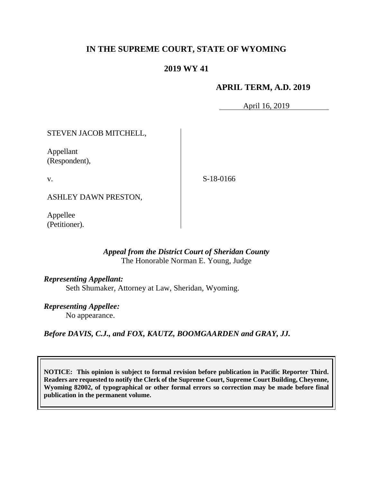# **IN THE SUPREME COURT, STATE OF WYOMING**

## **2019 WY 41**

### **APRIL TERM, A.D. 2019**

April 16, 2019

STEVEN JACOB MITCHELL,

Appellant (Respondent),

v.

S-18-0166

ASHLEY DAWN PRESTON,

Appellee (Petitioner).

## *Appeal from the District Court of Sheridan County* The Honorable Norman E. Young, Judge

*Representing Appellant:*

Seth Shumaker, Attorney at Law, Sheridan, Wyoming.

*Representing Appellee:*

No appearance.

*Before DAVIS, C.J., and FOX, KAUTZ, BOOMGAARDEN and GRAY, JJ.*

**NOTICE: This opinion is subject to formal revision before publication in Pacific Reporter Third. Readers are requested to notify the Clerk of the Supreme Court, Supreme Court Building, Cheyenne, Wyoming 82002, of typographical or other formal errors so correction may be made before final publication in the permanent volume.**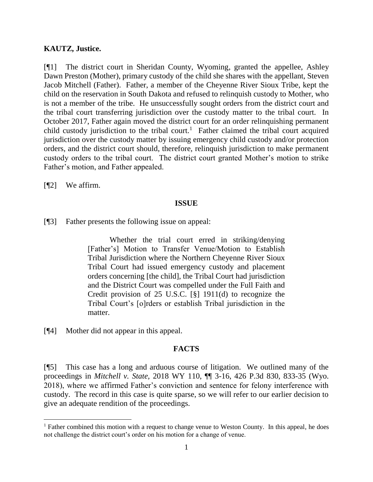### **KAUTZ, Justice.**

[¶1] The district court in Sheridan County, Wyoming, granted the appellee, Ashley Dawn Preston (Mother), primary custody of the child she shares with the appellant, Steven Jacob Mitchell (Father). Father, a member of the Cheyenne River Sioux Tribe, kept the child on the reservation in South Dakota and refused to relinquish custody to Mother, who is not a member of the tribe. He unsuccessfully sought orders from the district court and the tribal court transferring jurisdiction over the custody matter to the tribal court. In October 2017, Father again moved the district court for an order relinquishing permanent child custody jurisdiction to the tribal court.<sup>1</sup> Father claimed the tribal court acquired jurisdiction over the custody matter by issuing emergency child custody and/or protection orders, and the district court should, therefore, relinquish jurisdiction to make permanent custody orders to the tribal court. The district court granted Mother's motion to strike Father's motion, and Father appealed.

[¶2] We affirm.

l

### **ISSUE**

[¶3] Father presents the following issue on appeal:

Whether the trial court erred in striking/denying [Father's] Motion to Transfer Venue/Motion to Establish Tribal Jurisdiction where the Northern Cheyenne River Sioux Tribal Court had issued emergency custody and placement orders concerning [the child], the Tribal Court had jurisdiction and the District Court was compelled under the Full Faith and Credit provision of 25 U.S.C. [§] 1911(d) to recognize the Tribal Court's [o]rders or establish Tribal jurisdiction in the matter.

[¶4] Mother did not appear in this appeal.

#### **FACTS**

[¶5] This case has a long and arduous course of litigation. We outlined many of the proceedings in *Mitchell v. State,* 2018 WY 110, ¶¶ 3-16, 426 P.3d 830, 833-35 (Wyo. 2018), where we affirmed Father's conviction and sentence for felony interference with custody. The record in this case is quite sparse, so we will refer to our earlier decision to give an adequate rendition of the proceedings.

<sup>&</sup>lt;sup>1</sup> Father combined this motion with a request to change venue to Weston County. In this appeal, he does not challenge the district court's order on his motion for a change of venue.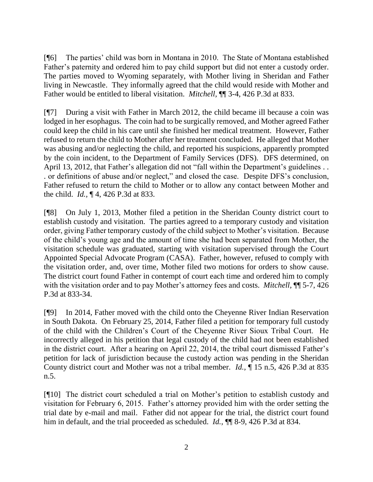[¶6] The parties' child was born in Montana in 2010. The State of Montana established Father's paternity and ordered him to pay child support but did not enter a custody order. The parties moved to Wyoming separately, with Mother living in Sheridan and Father living in Newcastle. They informally agreed that the child would reside with Mother and Father would be entitled to liberal visitation. *Mitchell,* ¶¶ 3-4, 426 P.3d at 833.

[¶7] During a visit with Father in March 2012, the child became ill because a coin was lodged in her esophagus. The coin had to be surgically removed, and Mother agreed Father could keep the child in his care until she finished her medical treatment. However, Father refused to return the child to Mother after her treatment concluded. He alleged that Mother was abusing and/or neglecting the child, and reported his suspicions, apparently prompted by the coin incident, to the Department of Family Services (DFS). DFS determined, on April 13, 2012, that Father's allegation did not "fall within the Department's guidelines ... . or definitions of abuse and/or neglect," and closed the case. Despite DFS's conclusion, Father refused to return the child to Mother or to allow any contact between Mother and the child. *Id.,* ¶ 4, 426 P.3d at 833.

[¶8] On July 1, 2013, Mother filed a petition in the Sheridan County district court to establish custody and visitation. The parties agreed to a temporary custody and visitation order, giving Father temporary custody of the child subject to Mother's visitation. Because of the child's young age and the amount of time she had been separated from Mother, the visitation schedule was graduated, starting with visitation supervised through the Court Appointed Special Advocate Program (CASA). Father, however, refused to comply with the visitation order, and, over time, Mother filed two motions for orders to show cause. The district court found Father in contempt of court each time and ordered him to comply with the visitation order and to pay Mother's attorney fees and costs. *Mitchell,* ¶¶ 5-7, 426 P.3d at 833-34.

[¶9] In 2014, Father moved with the child onto the Cheyenne River Indian Reservation in South Dakota. On February 25, 2014, Father filed a petition for temporary full custody of the child with the Children's Court of the Cheyenne River Sioux Tribal Court. He incorrectly alleged in his petition that legal custody of the child had not been established in the district court. After a hearing on April 22, 2014, the tribal court dismissed Father's petition for lack of jurisdiction because the custody action was pending in the Sheridan County district court and Mother was not a tribal member. *Id.,* ¶ 15 n.5, 426 P.3d at 835 n.5.

[¶10] The district court scheduled a trial on Mother's petition to establish custody and visitation for February 6, 2015. Father's attorney provided him with the order setting the trial date by e-mail and mail. Father did not appear for the trial, the district court found him in default, and the trial proceeded as scheduled. *Id.*, **¶** 8-9, 426 P.3d at 834.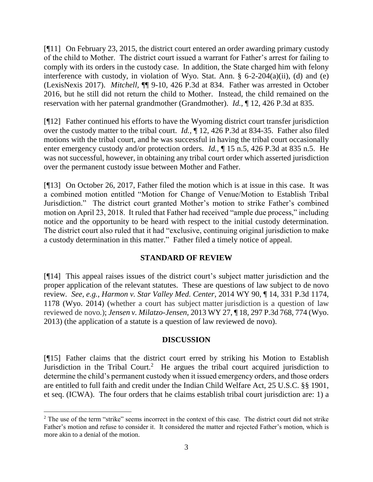[¶11] On February 23, 2015, the district court entered an order awarding primary custody of the child to Mother. The district court issued a warrant for Father's arrest for failing to comply with its orders in the custody case. In addition, the State charged him with felony interference with custody, in violation of Wyo. Stat. Ann. § 6-2-204(a)(ii), (d) and (e) (LexisNexis 2017). *Mitchell,* ¶¶ 9-10, 426 P.3d at 834. Father was arrested in October 2016, but he still did not return the child to Mother. Instead, the child remained on the reservation with her paternal grandmother (Grandmother). *Id.,* ¶ 12, 426 P.3d at 835.

[¶12] Father continued his efforts to have the Wyoming district court transfer jurisdiction over the custody matter to the tribal court. *Id.,* ¶ 12, 426 P.3d at 834-35. Father also filed motions with the tribal court, and he was successful in having the tribal court occasionally enter emergency custody and/or protection orders. *Id.*, ¶ 15 n.5, 426 P.3d at 835 n.5. He was not successful, however, in obtaining any tribal court order which asserted jurisdiction over the permanent custody issue between Mother and Father.

[¶13] On October 26, 2017, Father filed the motion which is at issue in this case. It was a combined motion entitled "Motion for Change of Venue/Motion to Establish Tribal Jurisdiction." The district court granted Mother's motion to strike Father's combined motion on April 23, 2018. It ruled that Father had received "ample due process," including notice and the opportunity to be heard with respect to the initial custody determination. The district court also ruled that it had "exclusive, continuing original jurisdiction to make a custody determination in this matter." Father filed a timely notice of appeal.

## **STANDARD OF REVIEW**

[¶14] This appeal raises issues of the district court's subject matter jurisdiction and the proper application of the relevant statutes. These are questions of law subject to de novo review*. See, e.g., Harmon v. Star Valley Med. Center,* 2014 WY 90, ¶ 14, 331 P.3d 1174, 1178 (Wyo. 2014) (whether a court has subject matter jurisdiction is a question of law reviewed de novo*.*); *Jensen v. Milatzo-Jensen,* 2013 WY 27, ¶ 18, 297 P.3d 768, 774 (Wyo. 2013) (the application of a statute is a question of law reviewed de novo).

### **DISCUSSION**

[¶15] Father claims that the district court erred by striking his Motion to Establish Jurisdiction in the Tribal Court.<sup>2</sup> He argues the tribal court acquired jurisdiction to determine the child's permanent custody when it issued emergency orders, and those orders are entitled to full faith and credit under the Indian Child Welfare Act, 25 U.S.C. §§ 1901, et seq. (ICWA). The four orders that he claims establish tribal court jurisdiction are: 1) a

<sup>&</sup>lt;sup>2</sup> The use of the term "strike" seems incorrect in the context of this case. The district court did not strike Father's motion and refuse to consider it. It considered the matter and rejected Father's motion, which is more akin to a denial of the motion.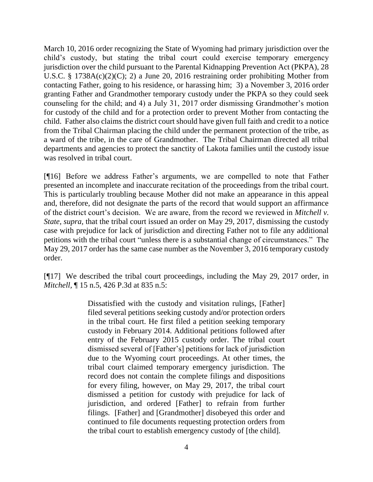March 10, 2016 order recognizing the State of Wyoming had primary jurisdiction over the child's custody, but stating the tribal court could exercise temporary emergency jurisdiction over the child pursuant to the Parental Kidnapping Prevention Act (PKPA), 28 U.S.C. § 1738A(c)(2)(C); 2) a June 20, 2016 restraining order prohibiting Mother from contacting Father, going to his residence, or harassing him; 3) a November 3, 2016 order granting Father and Grandmother temporary custody under the PKPA so they could seek counseling for the child; and 4) a July 31, 2017 order dismissing Grandmother's motion for custody of the child and for a protection order to prevent Mother from contacting the child. Father also claims the district court should have given full faith and credit to a notice from the Tribal Chairman placing the child under the permanent protection of the tribe, as a ward of the tribe, in the care of Grandmother. The Tribal Chairman directed all tribal departments and agencies to protect the sanctity of Lakota families until the custody issue was resolved in tribal court.

[¶16] Before we address Father's arguments, we are compelled to note that Father presented an incomplete and inaccurate recitation of the proceedings from the tribal court. This is particularly troubling because Mother did not make an appearance in this appeal and, therefore, did not designate the parts of the record that would support an affirmance of the district court's decision. We are aware, from the record we reviewed in *Mitchell v. State, supra,* that the tribal court issued an order on May 29, 2017, dismissing the custody case with prejudice for lack of jurisdiction and directing Father not to file any additional petitions with the tribal court "unless there is a substantial change of circumstances." The May 29, 2017 order has the same case number as the November 3, 2016 temporary custody order.

[¶17] We described the tribal court proceedings, including the May 29, 2017 order, in *Mitchell,* ¶ 15 n.5, 426 P.3d at 835 n.5:

> Dissatisfied with the custody and visitation rulings, [Father] filed several petitions seeking custody and/or protection orders in the tribal court. He first filed a petition seeking temporary custody in February 2014. Additional petitions followed after entry of the February 2015 custody order. The tribal court dismissed several of [Father's] petitions for lack of jurisdiction due to the Wyoming court proceedings. At other times, the tribal court claimed temporary emergency jurisdiction. The record does not contain the complete filings and dispositions for every filing, however, on May 29, 2017, the tribal court dismissed a petition for custody with prejudice for lack of jurisdiction, and ordered [Father] to refrain from further filings. [Father] and [Grandmother] disobeyed this order and continued to file documents requesting protection orders from the tribal court to establish emergency custody of [the child].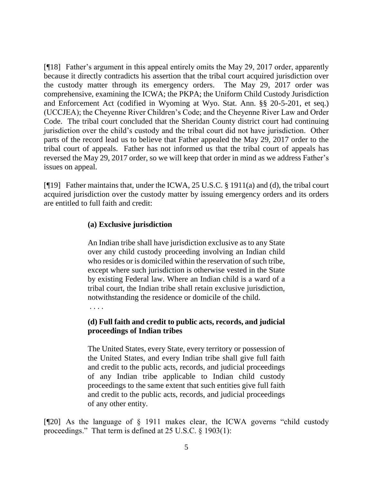[¶18] Father's argument in this appeal entirely omits the May 29, 2017 order, apparently because it directly contradicts his assertion that the tribal court acquired jurisdiction over the custody matter through its emergency orders. The May 29, 2017 order was comprehensive, examining the ICWA; the PKPA; the Uniform Child Custody Jurisdiction and Enforcement Act (codified in Wyoming at Wyo. Stat. Ann. §§ 20-5-201, et seq.) (UCCJEA); the Cheyenne River Children's Code; and the Cheyenne River Law and Order Code. The tribal court concluded that the Sheridan County district court had continuing jurisdiction over the child's custody and the tribal court did not have jurisdiction. Other parts of the record lead us to believe that Father appealed the May 29, 2017 order to the tribal court of appeals. Father has not informed us that the tribal court of appeals has reversed the May 29, 2017 order, so we will keep that order in mind as we address Father's issues on appeal.

[¶19] Father maintains that, under the ICWA, 25 U.S.C. § 1911(a) and (d), the tribal court acquired jurisdiction over the custody matter by issuing emergency orders and its orders are entitled to full faith and credit:

## **(a) Exclusive jurisdiction**

An Indian tribe shall have jurisdiction exclusive as to any State over any child custody proceeding involving an Indian child who resides or is domiciled within the reservation of such tribe, except where such jurisdiction is otherwise vested in the State by existing Federal law. Where an Indian child is a ward of a tribal court, the Indian tribe shall retain exclusive jurisdiction, notwithstanding the residence or domicile of the child.

. . . .

# **(d) Full faith and credit to public acts, records, and judicial proceedings of Indian tribes**

The United States, every State, every territory or possession of the United States, and every Indian tribe shall give full faith and credit to the public acts, records, and judicial proceedings of any Indian tribe applicable to Indian child custody proceedings to the same extent that such entities give full faith and credit to the public acts, records, and judicial proceedings of any other entity.

[¶20] As the language of § 1911 makes clear, the ICWA governs "child custody proceedings." That term is defined at 25 U.S.C. § 1903(1):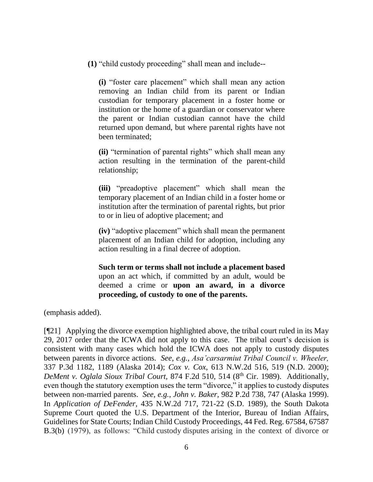**(1)** "child custody proceeding" shall mean and include--

**(i)** "foster care placement" which shall mean any action removing an Indian child from its parent or Indian custodian for temporary placement in a foster home or institution or the home of a guardian or conservator where the parent or Indian custodian cannot have the child returned upon demand, but where parental rights have not been terminated;

**(ii)** "termination of parental rights" which shall mean any action resulting in the termination of the parent-child relationship;

**(iii)** "preadoptive placement" which shall mean the temporary placement of an Indian child in a foster home or institution after the termination of parental rights, but prior to or in lieu of adoptive placement; and

**(iv)** "adoptive placement" which shall mean the permanent placement of an Indian child for adoption, including any action resulting in a final decree of adoption.

**Such term or terms shall not include a placement based** upon an act which, if committed by an adult, would be deemed a crime or **upon an award, in a divorce proceeding, of custody to one of the parents.**

(emphasis added).

[¶21] Applying the divorce exemption highlighted above, the tribal court ruled in its May 29, 2017 order that the ICWA did not apply to this case. The tribal court's decision is consistent with many cases which hold the ICWA does not apply to custody disputes between parents in divorce actions. *See, e.g.*, *Asa'carsarmiut Tribal Council v. Wheeler,*  337 P.3d 1182, 1189 (Alaska 2014); *Cox v. Cox,* 613 N.W.2d 516, 519 (N.D. 2000); *DeMent v. Oglala Sioux Tribal Court, 874 F.2d 510, 514 (8<sup>th</sup> Cir. 1989). Additionally,* even though the statutory exemption uses the term "divorce," it applies to custody disputes between non-married parents. *See, e.g.*, *John v. Baker,* 982 P.2d 738, 747 (Alaska 1999). In *Application of DeFender,* 435 N.W.2d 717, 721-22 (S.D. 1989), the South Dakota Supreme Court quoted the U.S. Department of the Interior, Bureau of Indian Affairs, Guidelines for State Courts; Indian Child Custody Proceedings, 44 Fed. Reg. 67584, 67587 B.3(b) (1979), as follows: "Child custody disputes arising in the context of divorce or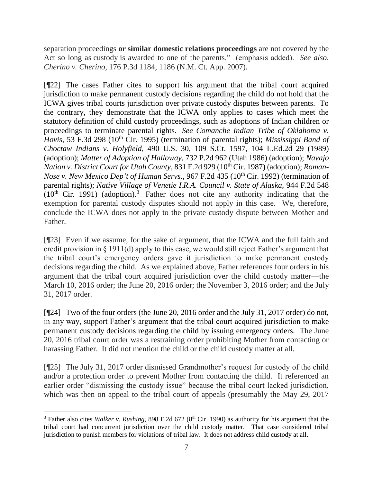separation proceedings **or similar domestic relations proceedings** are not covered by the Act so long as custody is awarded to one of the parents." (emphasis added). *See also*, *Cherino v. Cherino,* 176 P.3d 1184, 1186 (N.M. Ct. App. 2007).

[¶22] The cases Father cites to support his argument that the tribal court acquired jurisdiction to make permanent custody decisions regarding the child do not hold that the ICWA gives tribal courts jurisdiction over private custody disputes between parents. To the contrary, they demonstrate that the ICWA only applies to cases which meet the statutory definition of child custody proceedings, such as adoptions of Indian children or proceedings to terminate parental rights. *See Comanche Indian Tribe of Oklahoma v. Hovis,* 53 F.3d 298 (10<sup>th</sup> Cir. 1995) (termination of parental rights); *Mississippi Band of Choctaw Indians v. Holyfield,* 490 U.S. 30, 109 S.Ct. 1597, 104 L.Ed.2d 29 (1989) (adoption); *Matter of Adoption of Halloway,* 732 P.2d 962 (Utah 1986) (adoption); *Navajo Nation v. District Court for Utah County, 831 F.2d 929 (10<sup>th</sup> Cir. 1987) (adoption); <i>Roman-Nose v. New Mexico Dep't of Human Servs., 967 F.2d 435 (10<sup>th</sup> Cir. 1992) (termination of* parental rights); *Native Village of Venetie I.R.A. Council v. State of Alaska,* 944 F.2d 548  $(10<sup>th</sup>$  Cir. 1991) (adoption).<sup>3</sup> Father does not cite any authority indicating that the exemption for parental custody disputes should not apply in this case. We, therefore, conclude the ICWA does not apply to the private custody dispute between Mother and Father.

[¶23] Even if we assume, for the sake of argument, that the ICWA and the full faith and credit provision in § 1911(d) apply to this case, we would still reject Father's argument that the tribal court's emergency orders gave it jurisdiction to make permanent custody decisions regarding the child. As we explained above, Father references four orders in his argument that the tribal court acquired jurisdiction over the child custody matter—the March 10, 2016 order; the June 20, 2016 order; the November 3, 2016 order; and the July 31, 2017 order.

[¶24] Two of the four orders (the June 20, 2016 order and the July 31, 2017 order) do not, in any way, support Father's argument that the tribal court acquired jurisdiction to make permanent custody decisions regarding the child by issuing emergency orders. The June 20, 2016 tribal court order was a restraining order prohibiting Mother from contacting or harassing Father. It did not mention the child or the child custody matter at all.

[¶25] The July 31, 2017 order dismissed Grandmother's request for custody of the child and/or a protection order to prevent Mother from contacting the child. It referenced an earlier order "dismissing the custody issue" because the tribal court lacked jurisdiction, which was then on appeal to the tribal court of appeals (presumably the May 29, 2017

 <sup>3</sup> Father also cites *Walker v. Rushing, 898 F.2d 672 (8<sup>th</sup> Cir. 1990)* as authority for his argument that the tribal court had concurrent jurisdiction over the child custody matter. That case considered tribal jurisdiction to punish members for violations of tribal law. It does not address child custody at all.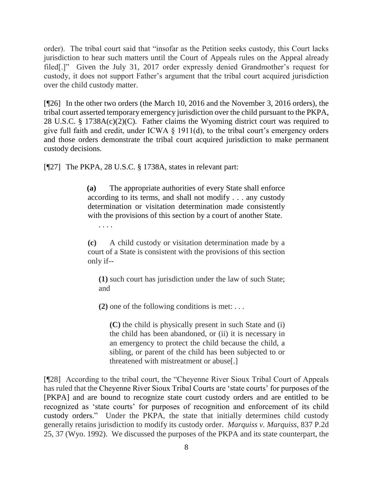order). The tribal court said that "insofar as the Petition seeks custody, this Court lacks jurisdiction to hear such matters until the Court of Appeals rules on the Appeal already filed[.]" Given the July 31, 2017 order expressly denied Grandmother's request for custody, it does not support Father's argument that the tribal court acquired jurisdiction over the child custody matter.

[¶26] In the other two orders (the March 10, 2016 and the November 3, 2016 orders), the tribal court asserted temporary emergency jurisdiction over the child pursuant to the PKPA, 28 U.S.C. § 1738A(c)(2)(C). Father claims the Wyoming district court was required to give full faith and credit, under ICWA § 1911(d), to the tribal court's emergency orders and those orders demonstrate the tribal court acquired jurisdiction to make permanent custody decisions.

[¶27] The PKPA, 28 U.S.C. § 1738A, states in relevant part:

**(a)** The appropriate authorities of every State shall enforce according to its terms, and shall not modify . . . any custody determination or visitation determination made consistently with the provisions of this section by a court of another State.

. . . .

**(c)** A child custody or visitation determination made by a court of a State is consistent with the provisions of this section only if--

**(1)** such court has jurisdiction under the law of such State; and

**(2)** one of the following conditions is met: . . .

**(C)** the child is physically present in such State and (i) the child has been abandoned, or (ii) it is necessary in an emergency to protect the child because the child, a sibling, or parent of the child has been subjected to or threatened with mistreatment or abuse[.]

[¶28] According to the tribal court, the "Cheyenne River Sioux Tribal Court of Appeals has ruled that the Cheyenne River Sioux Tribal Courts are 'state courts' for purposes of the [PKPA] and are bound to recognize state court custody orders and are entitled to be recognized as 'state courts' for purposes of recognition and enforcement of its child custody orders." Under the PKPA, the state that initially determines child custody generally retains jurisdiction to modify its custody order. *Marquiss v. Marquiss,* 837 P.2d 25, 37 (Wyo. 1992). We discussed the purposes of the PKPA and its state counterpart, the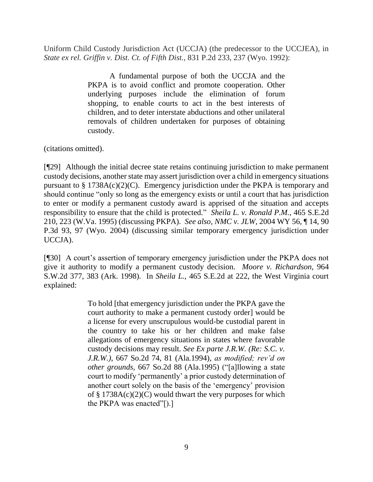Uniform Child Custody Jurisdiction Act (UCCJA) (the predecessor to the UCCJEA), in *State ex rel. Griffin v. Dist. Ct. of Fifth Dist.,* 831 P.2d 233, 237 (Wyo. 1992):

> A fundamental purpose of both the UCCJA and the PKPA is to avoid conflict and promote cooperation. Other underlying purposes include the elimination of forum shopping, to enable courts to act in the best interests of children, and to deter interstate abductions and other unilateral removals of children undertaken for purposes of obtaining custody.

(citations omitted).

[¶29] Although the initial decree state retains continuing jurisdiction to make permanent custody decisions, another state may assert jurisdiction over a child in emergency situations pursuant to  $\S 1738A(c)(2)(C)$ . Emergency jurisdiction under the PKPA is temporary and should continue "only so long as the emergency exists or until a court that has jurisdiction to enter or modify a permanent custody award is apprised of the situation and accepts responsibility to ensure that the child is protected." *Sheila L. v. Ronald P.M.,* 465 S.E.2d 210, 223 (W.Va. 1995) (discussing PKPA). *See also, NMC v. JLW,* 2004 WY 56, ¶ 14, 90 P.3d 93, 97 (Wyo. 2004) (discussing similar temporary emergency jurisdiction under UCCJA).

[¶30] A court's assertion of temporary emergency jurisdiction under the PKPA does not give it authority to modify a permanent custody decision. *Moore v. Richardson,* 964 S.W.2d 377, 383 (Ark. 1998). In *Sheila L.,* 465 S.E.2d at 222, the West Virginia court explained:

> To hold [that emergency jurisdiction under the PKPA gave the court authority to make a permanent custody order] would be a license for every unscrupulous would-be custodial parent in the country to take his or her children and make false allegations of emergency situations in states where favorable custody decisions may result. *See [Ex parte J.R.W. \(Re: S.C. v.](http://www.westlaw.com/Link/Document/FullText?findType=Y&serNum=1994066985&pubNum=735&originatingDoc=Icc043d87038311da83e7e9deff98dc6f&refType=RP&fi=co_pp_sp_735_81&originationContext=document&vr=3.0&rs=cblt1.0&transitionType=DocumentItem&contextData=(sc.UserEnteredCitation)#co_pp_sp_735_81)  J.R.W.),* [667 So.2d 74, 81 \(Ala.1994\),](http://www.westlaw.com/Link/Document/FullText?findType=Y&serNum=1994066985&pubNum=735&originatingDoc=Icc043d87038311da83e7e9deff98dc6f&refType=RP&fi=co_pp_sp_735_81&originationContext=document&vr=3.0&rs=cblt1.0&transitionType=DocumentItem&contextData=(sc.UserEnteredCitation)#co_pp_sp_735_81) *as modified; rev'd on other grounds,* [667 So.2d 88 \(Ala.1995\)](http://www.westlaw.com/Link/Document/FullText?findType=Y&serNum=1995148861&pubNum=735&originatingDoc=Icc043d87038311da83e7e9deff98dc6f&refType=RP&originationContext=document&vr=3.0&rs=cblt1.0&transitionType=DocumentItem&contextData=(sc.UserEnteredCitation)) ("[a]llowing a state court to modify 'permanently' a prior custody determination of another court solely on the basis of the 'emergency' provision of  $\S 1738A(c)(2)(C)$  would thwart the very purposes for which the PKPA was enacted"[).]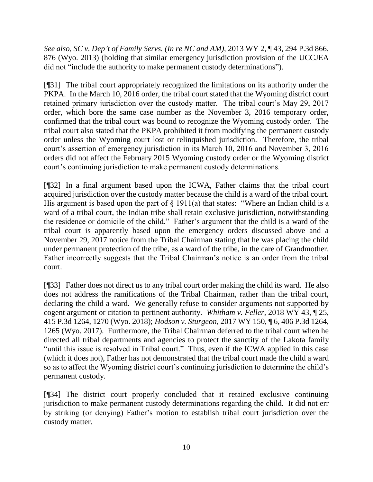*See also*, *SC v. Dep't of Family Servs. (In re NC and AM),* 2013 WY 2, ¶ 43, 294 P.3d 866, 876 (Wyo. 2013) (holding that similar emergency jurisdiction provision of the UCCJEA did not "include the authority to make permanent custody determinations").

[¶31] The tribal court appropriately recognized the limitations on its authority under the PKPA. In the March 10, 2016 order, the tribal court stated that the Wyoming district court retained primary jurisdiction over the custody matter. The tribal court's May 29, 2017 order, which bore the same case number as the November 3, 2016 temporary order, confirmed that the tribal court was bound to recognize the Wyoming custody order. The tribal court also stated that the PKPA prohibited it from modifying the permanent custody order unless the Wyoming court lost or relinquished jurisdiction. Therefore, the tribal court's assertion of emergency jurisdiction in its March 10, 2016 and November 3, 2016 orders did not affect the February 2015 Wyoming custody order or the Wyoming district court's continuing jurisdiction to make permanent custody determinations.

[¶32] In a final argument based upon the ICWA, Father claims that the tribal court acquired jurisdiction over the custody matter because the child is a ward of the tribal court. His argument is based upon the part of  $\S$  1911(a) that states: "Where an Indian child is a ward of a tribal court, the Indian tribe shall retain exclusive jurisdiction, notwithstanding the residence or domicile of the child." Father's argument that the child is a ward of the tribal court is apparently based upon the emergency orders discussed above and a November 29, 2017 notice from the Tribal Chairman stating that he was placing the child under permanent protection of the tribe, as a ward of the tribe, in the care of Grandmother. Father incorrectly suggests that the Tribal Chairman's notice is an order from the tribal court.

[¶33] Father does not direct us to any tribal court order making the child its ward. He also does not address the ramifications of the Tribal Chairman, rather than the tribal court, declaring the child a ward. We generally refuse to consider arguments not supported by cogent argument or citation to pertinent authority. *Whitham v. Feller,* 2018 WY 43, ¶ 25, 415 P.3d 1264, 1270 (Wyo. 2018); *Hodson v. Sturgeon,* 2017 WY 150, ¶ 6, 406 P.3d 1264, 1265 (Wyo. 2017). Furthermore, the Tribal Chairman deferred to the tribal court when he directed all tribal departments and agencies to protect the sanctity of the Lakota family "until this issue is resolved in Tribal court." Thus, even if the ICWA applied in this case (which it does not), Father has not demonstrated that the tribal court made the child a ward so as to affect the Wyoming district court's continuing jurisdiction to determine the child's permanent custody.

[¶34] The district court properly concluded that it retained exclusive continuing jurisdiction to make permanent custody determinations regarding the child. It did not err by striking (or denying) Father's motion to establish tribal court jurisdiction over the custody matter.